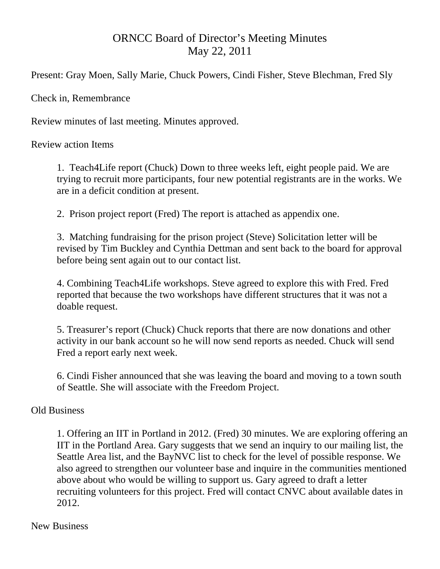## ORNCC Board of Director's Meeting Minutes May 22, 2011

Present: Gray Moen, Sally Marie, Chuck Powers, Cindi Fisher, Steve Blechman, Fred Sly

Check in, Remembrance

Review minutes of last meeting. Minutes approved.

Review action Items

1. Teach4Life report (Chuck) Down to three weeks left, eight people paid. We are trying to recruit more participants, four new potential registrants are in the works. We are in a deficit condition at present.

2. Prison project report (Fred) The report is attached as appendix one.

3. Matching fundraising for the prison project (Steve) Solicitation letter will be revised by Tim Buckley and Cynthia Dettman and sent back to the board for approval before being sent again out to our contact list.

 4. Combining Teach4Life workshops. Steve agreed to explore this with Fred. Fred reported that because the two workshops have different structures that it was not a doable request.

 5. Treasurer's report (Chuck) Chuck reports that there are now donations and other activity in our bank account so he will now send reports as needed. Chuck will send Fred a report early next week.

 6. Cindi Fisher announced that she was leaving the board and moving to a town south of Seattle. She will associate with the Freedom Project.

## Old Business

 1. Offering an IIT in Portland in 2012. (Fred) 30 minutes. We are exploring offering an IIT in the Portland Area. Gary suggests that we send an inquiry to our mailing list, the Seattle Area list, and the BayNVC list to check for the level of possible response. We also agreed to strengthen our volunteer base and inquire in the communities mentioned above about who would be willing to support us. Gary agreed to draft a letter recruiting volunteers for this project. Fred will contact CNVC about available dates in 2012.

## New Business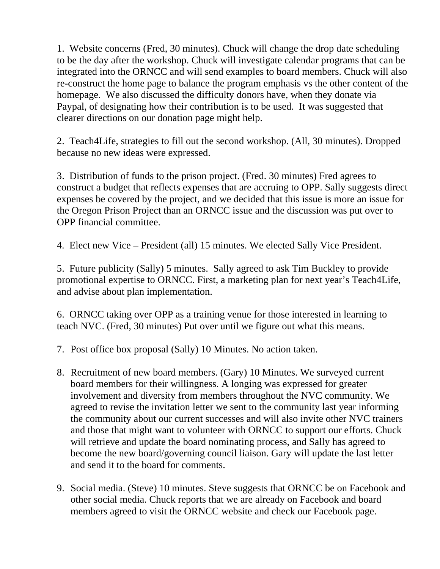1. Website concerns (Fred, 30 minutes). Chuck will change the drop date scheduling to be the day after the workshop. Chuck will investigate calendar programs that can be integrated into the ORNCC and will send examples to board members. Chuck will also re-construct the home page to balance the program emphasis vs the other content of the homepage. We also discussed the difficulty donors have, when they donate via Paypal, of designating how their contribution is to be used. It was suggested that clearer directions on our donation page might help.

 2. Teach4Life, strategies to fill out the second workshop. (All, 30 minutes). Dropped because no new ideas were expressed.

 3. Distribution of funds to the prison project. (Fred. 30 minutes) Fred agrees to construct a budget that reflects expenses that are accruing to OPP. Sally suggests direct expenses be covered by the project, and we decided that this issue is more an issue for the Oregon Prison Project than an ORNCC issue and the discussion was put over to OPP financial committee.

4. Elect new Vice – President (all) 15 minutes. We elected Sally Vice President.

5. Future publicity (Sally) 5 minutes. Sally agreed to ask Tim Buckley to provide promotional expertise to ORNCC. First, a marketing plan for next year's Teach4Life, and advise about plan implementation.

 6. ORNCC taking over OPP as a training venue for those interested in learning to teach NVC. (Fred, 30 minutes) Put over until we figure out what this means.

- 7. Post office box proposal (Sally) 10 Minutes. No action taken.
- 8. Recruitment of new board members. (Gary) 10 Minutes. We surveyed current board members for their willingness. A longing was expressed for greater involvement and diversity from members throughout the NVC community. We agreed to revise the invitation letter we sent to the community last year informing the community about our current successes and will also invite other NVC trainers and those that might want to volunteer with ORNCC to support our efforts. Chuck will retrieve and update the board nominating process, and Sally has agreed to become the new board/governing council liaison. Gary will update the last letter and send it to the board for comments.
- 9. Social media. (Steve) 10 minutes. Steve suggests that ORNCC be on Facebook and other social media. Chuck reports that we are already on Facebook and board members agreed to visit the ORNCC website and check our Facebook page.